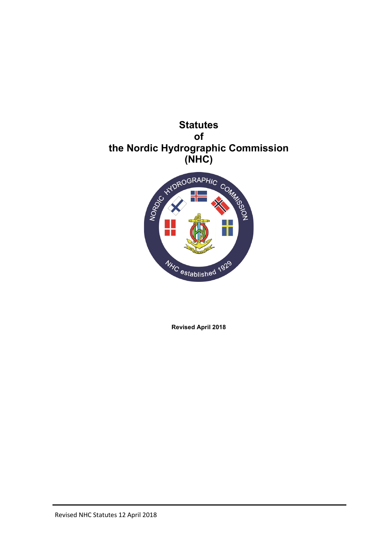



**Revised April 2018**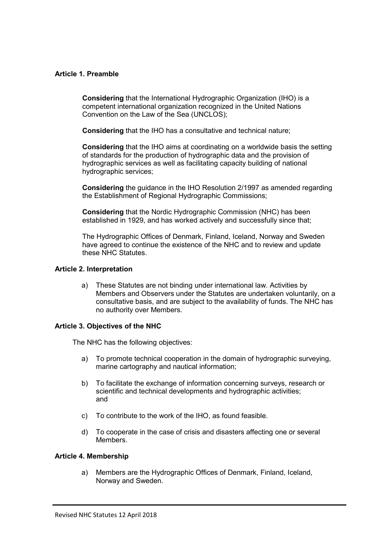#### **Article 1. Preamble**

**Considering** that the International Hydrographic Organization (IHO) is a competent international organization recognized in the United Nations Convention on the Law of the Sea (UNCLOS);

**Considering** that the IHO has a consultative and technical nature;

**Considering** that the IHO aims at coordinating on a worldwide basis the setting of standards for the production of hydrographic data and the provision of hydrographic services as well as facilitating capacity building of national hydrographic services;

**Considering** the guidance in the IHO Resolution 2/1997 as amended regarding the Establishment of Regional Hydrographic Commissions;

**Considering** that the Nordic Hydrographic Commission (NHC) has been established in 1929, and has worked actively and successfully since that;

The Hydrographic Offices of Denmark, Finland, Iceland, Norway and Sweden have agreed to continue the existence of the NHC and to review and update these NHC Statutes.

#### **Article 2. Interpretation**

a) These Statutes are not binding under international law. Activities by Members and Observers under the Statutes are undertaken voluntarily, on a consultative basis, and are subject to the availability of funds. The NHC has no authority over Members.

## **Article 3. Objectives of the NHC**

The NHC has the following objectives:

- a) To promote technical cooperation in the domain of hydrographic surveying, marine cartography and nautical information;
- b) To facilitate the exchange of information concerning surveys, research or scientific and technical developments and hydrographic activities; and
- c) To contribute to the work of the IHO, as found feasible.
- d) To cooperate in the case of crisis and disasters affecting one or several Members.

#### **Article 4. Membership**

a) Members are the Hydrographic Offices of Denmark, Finland, Iceland, Norway and Sweden.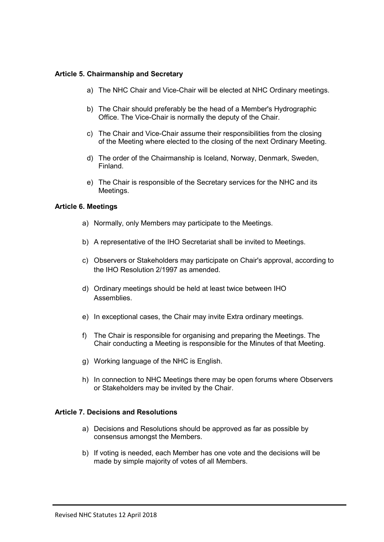#### **Article 5. Chairmanship and Secretary**

- a) The NHC Chair and Vice-Chair will be elected at NHC Ordinary meetings.
- b) The Chair should preferably be the head of a Member's Hydrographic Office. The Vice-Chair is normally the deputy of the Chair.
- c) The Chair and Vice-Chair assume their responsibilities from the closing of the Meeting where elected to the closing of the next Ordinary Meeting.
- d) The order of the Chairmanship is Iceland, Norway, Denmark, Sweden, Finland.
- e) The Chair is responsible of the Secretary services for the NHC and its Meetings.

### **Article 6. Meetings**

- a) Normally, only Members may participate to the Meetings.
- b) A representative of the IHO Secretariat shall be invited to Meetings.
- c) Observers or Stakeholders may participate on Chair's approval, according to the IHO Resolution 2/1997 as amended.
- d) Ordinary meetings should be held at least twice between IHO Assemblies.
- e) In exceptional cases, the Chair may invite Extra ordinary meetings.
- f) The Chair is responsible for organising and preparing the Meetings. The Chair conducting a Meeting is responsible for the Minutes of that Meeting.
- g) Working language of the NHC is English.
- h) In connection to NHC Meetings there may be open forums where Observers or Stakeholders may be invited by the Chair.

#### **Article 7. Decisions and Resolutions**

- a) Decisions and Resolutions should be approved as far as possible by consensus amongst the Members.
- b) If voting is needed, each Member has one vote and the decisions will be made by simple majority of votes of all Members.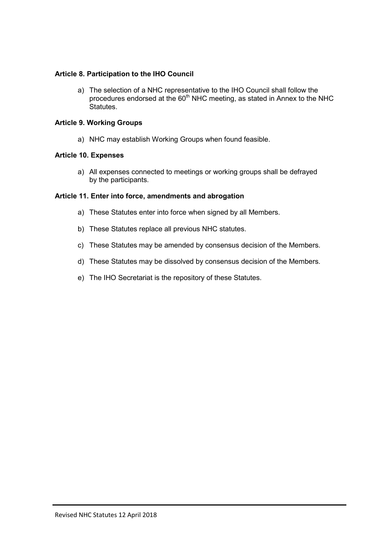## **Article 8. Participation to the IHO Council**

a) The selection of a NHC representative to the IHO Council shall follow the procedures endorsed at the  $60<sup>th</sup>$  NHC meeting, as stated in Annex to the NHC Statutes.

## **Article 9. Working Groups**

a) NHC may establish Working Groups when found feasible.

## **Article 10. Expenses**

a) All expenses connected to meetings or working groups shall be defrayed by the participants.

## **Article 11. Enter into force, amendments and abrogation**

- a) These Statutes enter into force when signed by all Members.
- b) These Statutes replace all previous NHC statutes.
- c) These Statutes may be amended by consensus decision of the Members.
- d) These Statutes may be dissolved by consensus decision of the Members.
- e) The IHO Secretariat is the repository of these Statutes.